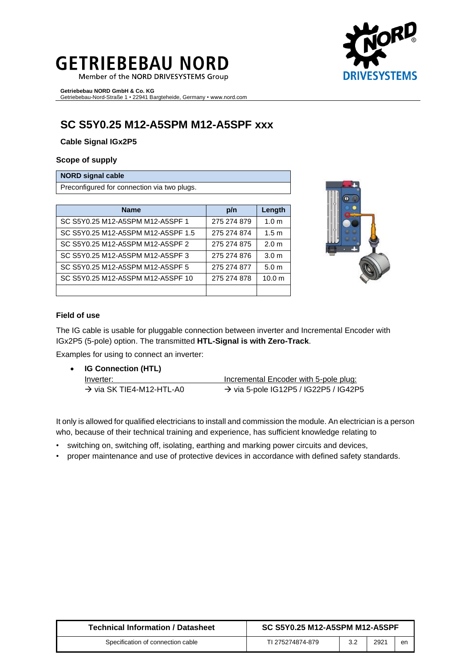# **GETRIEBEBAU NORD**

Member of the NORD DRIVESYSTEMS Group

**Getriebebau NORD GmbH & Co. KG** Getriebebau-Nord-Straße 1 • 22941 Bargteheide, Germany • www.nord.com

# **SC S5Y0.25 M12-A5SPM M12-A5SPF xxx**

**Cable Signal IGx2P5**

#### **Scope of supply**

#### **NORD signal cable**

Preconfigured for connection via two plugs.

| <b>Name</b>                        | p/n         | Length            |
|------------------------------------|-------------|-------------------|
| SC S5Y0.25 M12-A5SPM M12-A5SPF 1   | 275 274 879 | 1.0 <sub>m</sub>  |
| SC S5Y0.25 M12-A5SPM M12-A5SPF 1.5 | 275 274 874 | 1.5 <sub>m</sub>  |
| SC S5Y0.25 M12-A5SPM M12-A5SPF 2   | 275 274 875 | 2.0 <sub>m</sub>  |
| SC S5Y0.25 M12-A5SPM M12-A5SPF 3   | 275 274 876 | 3.0 <sub>m</sub>  |
| SC S5Y0.25 M12-A5SPM M12-A5SPF 5   | 275 274 877 | 5.0 <sub>m</sub>  |
| SC S5Y0.25 M12-A5SPM M12-A5SPF 10  | 275 274 878 | 10.0 <sub>m</sub> |
|                                    |             |                   |



#### **Field of use**

The IG cable is usable for pluggable connection between inverter and Incremental Encoder with IGx2P5 (5-pole) option. The transmitted **HTL-Signal is with Zero-Track**.

Examples for using to connect an inverter:

• **IG Connection (HTL)** Inverter: Inverter: Incremental Encoder with 5-pole plug:  $\rightarrow$  via SK TIE4-M12-HTL-A0  $\rightarrow$  via 5-pole IG12P5 / IG22P5 / IG42P5

It only is allowed for qualified electricians to install and commission the module. An electrician is a person who, because of their technical training and experience, has sufficient knowledge relating to

- switching on, switching off, isolating, earthing and marking power circuits and devices,
- proper maintenance and use of protective devices in accordance with defined safety standards.

| <b>Technical Information / Datasheet</b> | SC S5Y0.25 M12-A5SPM M12-A5SPF |     |      |    |
|------------------------------------------|--------------------------------|-----|------|----|
| Specification of connection cable        | TI 275274874-879               | 3.2 | 2921 | en |